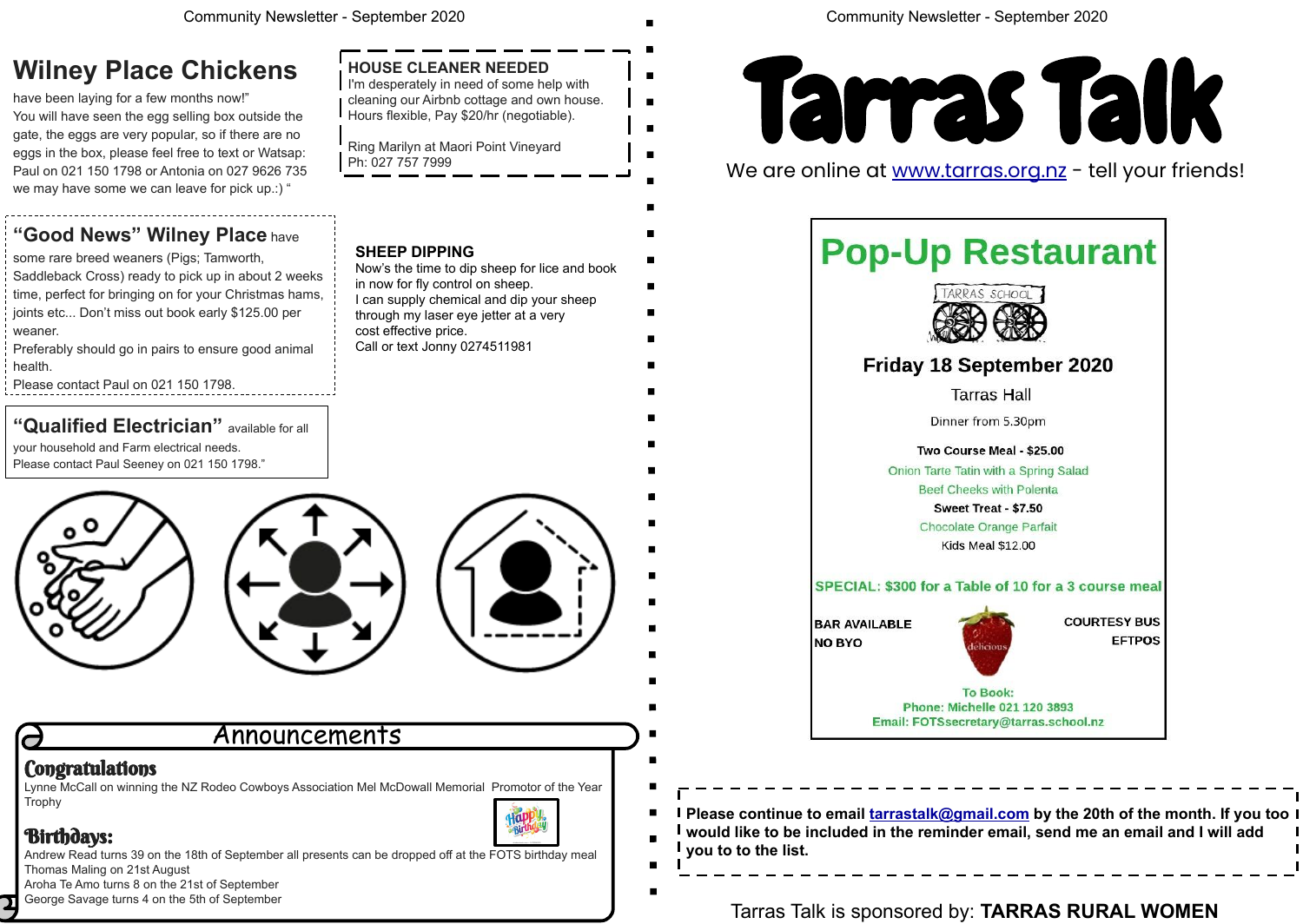Lynne McCall on winning the NZ Rodeo Cowboys Association Mel McDowall Memorial Promotor of the Year Trophy



## Birthdays:

Andrew Read turns 39 on the 18th of September all presents can be dropped off at the FOTS birthday meal Thomas Maling on 21st August

Aroha Te Amo turns 8 on the 21st of September George Savage turns 4 on the 5th of September

## Announcements

## **Congratulations**

**Please continue to email [tarrastalk@gmail.com](mailto:tarrastalk@gmail.com) by the 20th of the month. If you too would like to be included in the reminder email, send me an email and I will add you to to the list.** 

Tarras Talk is sponsored by: **TARRAS RURAL WOMEN**

Friday 18 September 2020

**Tarras Hall** 

SPECIAL: \$300 for a Table of 10 for a 3 course meal

**COURTESY BUS EFTPOS** 



We are online at [www.tarras.org.nz](http://www.tarras.org.nz) - tell your friends!

# **Pop-Up Restaurant**



Dinner from 5.30pm

Two Course Meal - \$25.00 Onion Tarte Tatin with a Spring Salad **Beef Cheeks with Polenta** 

Sweet Treat - \$7.50 Chocolate Orange Parfait

Kids Meal \$12.00

**BAR AVAILABLE NO BYO** 



**To Book:** Phone: Michelle 021 120 3893 Email: FOTSsecretary@tarras.school.nz

## **Wilney Place Chickens**

### **HOUSE CLEANER NEEDED** I'm desperately in need of some help with cleaning our Airbnb cottage and own house. Hours flexible, Pay \$20/hr (negotiable).

have been laying for a few months now!" You will have seen the egg selling box outside the gate, the eggs are very popular, so if there are no eggs in the box, please feel free to text or Watsap: Paul on 021 150 1798 or Antonia on 027 9626 735 we may have some we can leave for pick up.:) "

## **"Good News" Wilney Place** have

some rare breed weaners (Pigs; Tamworth, Saddleback Cross) ready to pick up in about 2 weeks time, perfect for bringing on for your Christmas hams, joints etc... Don't miss out book early \$125.00 per weaner.

Preferably should go in pairs to ensure good animal health.

Please contact Paul on 021 150 1798.

## **"Qualified Electrician"** available for all

your household and Farm electrical needs. Please contact Paul Seeney on 021 150 1798."





Ring Marilyn at Maori Point Vineyard Ph: 027 757 7999

## **SHEEP DIPPING**

Now's the time to dip sheep for lice and book in now for fly control on sheep. I can supply chemical and dip your sheep through my laser eye jetter at a very cost effective price. Call or text Jonny 0274511981